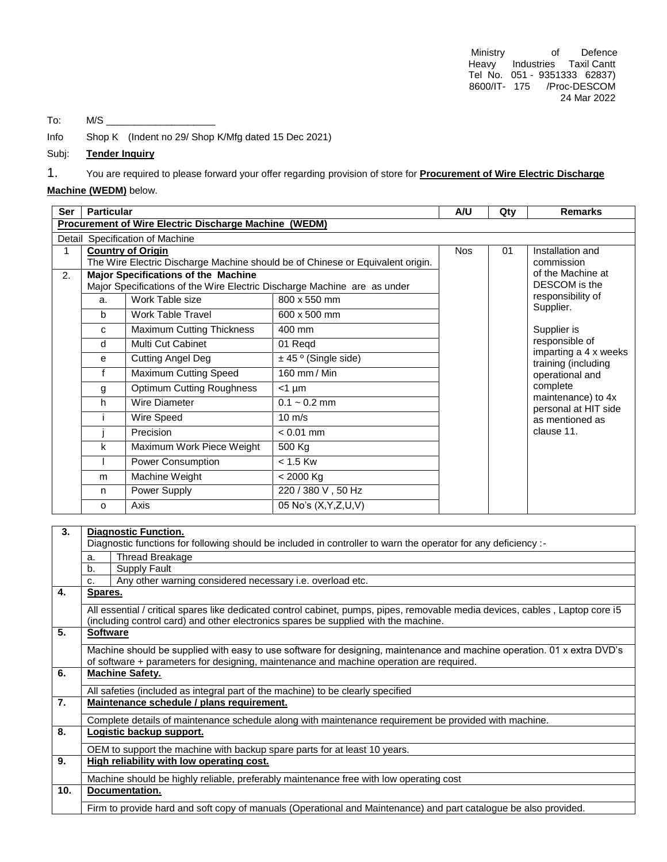Ministry of Defence Heavy Industries Taxil Cantt Tel No. 051 - 9351333 62837) 8600/IT- 175 /Proc-DESCOM 24 Mar 2022

To:  $M/S$ 

Info Shop K (Indent no 29/ Shop K/Mfg dated 15 Dec 2021)

### Subj: **Tender Inquiry**

1. You are required to please forward your offer regarding provision of store for **Procurement of Wire Electric Discharge** 

# **Machine (WEDM)** below.

| <b>Ser</b> | <b>Particular</b>                                                                                                      |                                  | A/U                      | Qty | <b>Remarks</b>                                                                                                                 |                                            |  |  |  |  |
|------------|------------------------------------------------------------------------------------------------------------------------|----------------------------------|--------------------------|-----|--------------------------------------------------------------------------------------------------------------------------------|--------------------------------------------|--|--|--|--|
|            | Procurement of Wire Electric Discharge Machine (WEDM)                                                                  |                                  |                          |     |                                                                                                                                |                                            |  |  |  |  |
|            | Detail Specification of Machine                                                                                        |                                  |                          |     |                                                                                                                                |                                            |  |  |  |  |
| 1          |                                                                                                                        | <b>Country of Origin</b>         | <b>Nos</b>               | 01  | Installation and                                                                                                               |                                            |  |  |  |  |
|            | The Wire Electric Discharge Machine should be of Chinese or Equivalent origin.                                         |                                  |                          |     |                                                                                                                                | commission<br>of the Machine at            |  |  |  |  |
| 2.         | <b>Major Specifications of the Machine</b><br>Major Specifications of the Wire Electric Discharge Machine are as under |                                  |                          |     |                                                                                                                                | DESCOM is the                              |  |  |  |  |
|            | a.                                                                                                                     | Work Table size                  | 800 x 550 mm             |     |                                                                                                                                | responsibility of<br>Supplier.             |  |  |  |  |
|            | b                                                                                                                      | <b>Work Table Travel</b>         | 600 x 500 mm             |     |                                                                                                                                |                                            |  |  |  |  |
|            | $\mathbf{C}$                                                                                                           | Maximum Cutting Thickness        | 400 mm                   |     |                                                                                                                                | Supplier is                                |  |  |  |  |
|            | d                                                                                                                      | Multi Cut Cabinet                | 01 Reqd                  |     | responsible of<br>imparting a 4 x weeks<br>training (including<br>operational and<br>complete<br>as mentioned as<br>clause 11. |                                            |  |  |  |  |
|            | e                                                                                                                      | <b>Cutting Angel Deg</b>         | $\pm$ 45 ° (Single side) |     |                                                                                                                                | maintenance) to 4x<br>personal at HIT side |  |  |  |  |
|            | f                                                                                                                      | <b>Maximum Cutting Speed</b>     | 160 mm / Min             |     |                                                                                                                                |                                            |  |  |  |  |
|            | g                                                                                                                      | <b>Optimum Cutting Roughness</b> | $<$ 1 µm                 |     |                                                                                                                                |                                            |  |  |  |  |
|            | h                                                                                                                      | Wire Diameter                    | $0.1 - 0.2$ mm           |     |                                                                                                                                |                                            |  |  |  |  |
|            |                                                                                                                        | Wire Speed                       | $10 \text{ m/s}$         |     |                                                                                                                                |                                            |  |  |  |  |
|            |                                                                                                                        | Precision                        | $< 0.01$ mm              |     |                                                                                                                                |                                            |  |  |  |  |
|            | k                                                                                                                      | Maximum Work Piece Weight        | 500 Kg                   |     |                                                                                                                                |                                            |  |  |  |  |
|            |                                                                                                                        | Power Consumption                | $< 1.5$ Kw               |     |                                                                                                                                |                                            |  |  |  |  |
|            | m                                                                                                                      | Machine Weight                   | $< 2000$ Kg              |     |                                                                                                                                |                                            |  |  |  |  |
|            | n                                                                                                                      | Power Supply                     | 220 / 380 V, 50 Hz       |     |                                                                                                                                |                                            |  |  |  |  |
|            | $\Omega$                                                                                                               | Axis                             | 05 No's (X, Y, Z, U, V)  |     |                                                                                                                                |                                            |  |  |  |  |
|            |                                                                                                                        |                                  |                          |     |                                                                                                                                |                                            |  |  |  |  |

| 3.               | <b>Diagnostic Function.</b>                                                                                                                                                                                          |  |  |  |  |  |
|------------------|----------------------------------------------------------------------------------------------------------------------------------------------------------------------------------------------------------------------|--|--|--|--|--|
|                  | Diagnostic functions for following should be included in controller to warn the operator for any deficiency :-                                                                                                       |  |  |  |  |  |
|                  | Thread Breakage<br>a.                                                                                                                                                                                                |  |  |  |  |  |
|                  | Supply Fault<br>b.                                                                                                                                                                                                   |  |  |  |  |  |
|                  | Any other warning considered necessary i.e. overload etc.<br>C.                                                                                                                                                      |  |  |  |  |  |
| 4.               | <b>Spares.</b>                                                                                                                                                                                                       |  |  |  |  |  |
|                  | All essential / critical spares like dedicated control cabinet, pumps, pipes, removable media devices, cables, Laptop core i5<br>(including control card) and other electronics spares be supplied with the machine. |  |  |  |  |  |
| 5.               | <b>Software</b>                                                                                                                                                                                                      |  |  |  |  |  |
|                  | Machine should be supplied with easy to use software for designing, maintenance and machine operation. 01 x extra DVD's                                                                                              |  |  |  |  |  |
|                  | of software + parameters for designing, maintenance and machine operation are required.                                                                                                                              |  |  |  |  |  |
| 6.               | <b>Machine Safety.</b>                                                                                                                                                                                               |  |  |  |  |  |
|                  | All safeties (included as integral part of the machine) to be clearly specified                                                                                                                                      |  |  |  |  |  |
| $\overline{7}$ . | Maintenance schedule / plans requirement.                                                                                                                                                                            |  |  |  |  |  |
|                  | Complete details of maintenance schedule along with maintenance requirement be provided with machine.                                                                                                                |  |  |  |  |  |
| 8.               | Logistic backup support.                                                                                                                                                                                             |  |  |  |  |  |
|                  | OEM to support the machine with backup spare parts for at least 10 years.                                                                                                                                            |  |  |  |  |  |
| 9.               | High reliability with low operating cost.                                                                                                                                                                            |  |  |  |  |  |
|                  | Machine should be highly reliable, preferably maintenance free with low operating cost                                                                                                                               |  |  |  |  |  |
| 10.              | Documentation.                                                                                                                                                                                                       |  |  |  |  |  |
|                  | Firm to provide hard and soft copy of manuals (Operational and Maintenance) and part catalogue be also provided.                                                                                                     |  |  |  |  |  |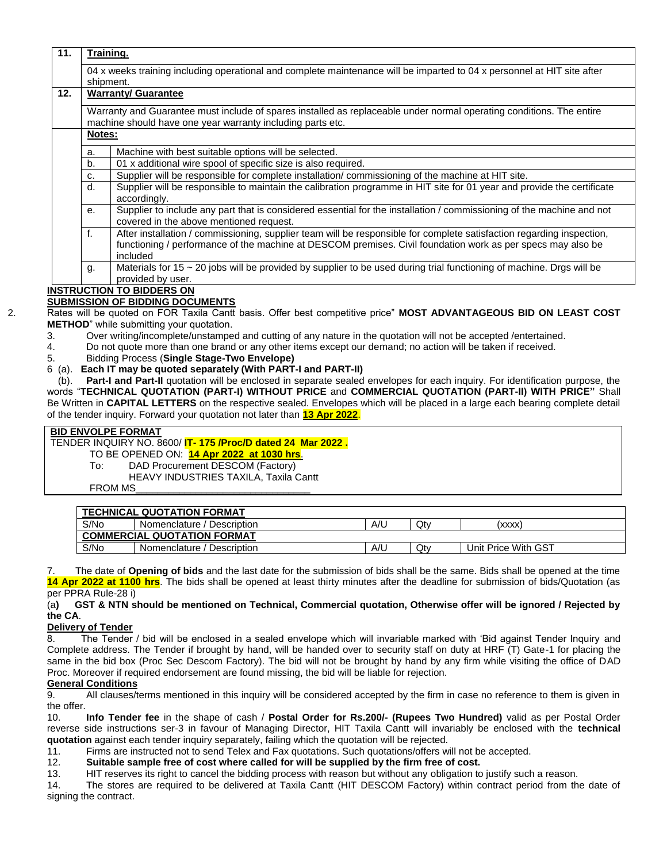|     | shipment.                                                                                                            |                                                                                                                                                                                                                                                  |  |  |  |  |
|-----|----------------------------------------------------------------------------------------------------------------------|--------------------------------------------------------------------------------------------------------------------------------------------------------------------------------------------------------------------------------------------------|--|--|--|--|
| 12. | <b>Warranty/ Guarantee</b>                                                                                           |                                                                                                                                                                                                                                                  |  |  |  |  |
|     | Warranty and Guarantee must include of spares installed as replaceable under normal operating conditions. The entire |                                                                                                                                                                                                                                                  |  |  |  |  |
|     | machine should have one year warranty including parts etc.                                                           |                                                                                                                                                                                                                                                  |  |  |  |  |
|     | Notes:                                                                                                               |                                                                                                                                                                                                                                                  |  |  |  |  |
|     | a.                                                                                                                   | Machine with best suitable options will be selected.                                                                                                                                                                                             |  |  |  |  |
|     | b.                                                                                                                   | 01 x additional wire spool of specific size is also required.                                                                                                                                                                                    |  |  |  |  |
|     | C.                                                                                                                   | Supplier will be responsible for complete installation/commissioning of the machine at HIT site.                                                                                                                                                 |  |  |  |  |
|     | d.                                                                                                                   | Supplier will be responsible to maintain the calibration programme in HIT site for 01 year and provide the certificate<br>accordingly.                                                                                                           |  |  |  |  |
|     | е.                                                                                                                   | Supplier to include any part that is considered essential for the installation / commissioning of the machine and not<br>covered in the above mentioned request.                                                                                 |  |  |  |  |
|     | f.                                                                                                                   | After installation / commissioning, supplier team will be responsible for complete satisfaction regarding inspection,<br>functioning / performance of the machine at DESCOM premises. Civil foundation work as per specs may also be<br>included |  |  |  |  |
|     | g.                                                                                                                   | Materials for 15 ~ 20 jobs will be provided by supplier to be used during trial functioning of machine. Drgs will be<br>provided by user.                                                                                                        |  |  |  |  |
|     | <b>INSTRUCTION TO BIDDERS ON</b>                                                                                     |                                                                                                                                                                                                                                                  |  |  |  |  |

- 3. Over writing/incomplete/unstamped and cutting of any nature in the quotation will not be accepted /entertained.
- 4. Do not quote more than one brand or any other items except our demand; no action will be taken if received.
- 5. Bidding Process (**Single Stage-Two Envelope)**
- 6 (a). **Each IT may be quoted separately (With PART-I and PART-II)**

 (b). **Part-I and Part-II** quotation will be enclosed in separate sealed envelopes for each inquiry. For identification purpose, the words "**TECHNICAL QUOTATION (PART-I) WITHOUT PRICE** and **COMMERCIAL QUOTATION (PART-II) WITH PRICE"** Shall Be Written in **CAPITAL LETTERS** on the respective sealed. Envelopes which will be placed in a large each bearing complete detail of the tender inquiry. Forward your quotation not later than **13 Apr 2022**.

### **BID ENVOLPE FORMAT**

#### TENDER INQUIRY NO. 8600/ **IT- 175 /Proc/D dated 24 Mar 2022 .**

TO BE OPENED ON: **14 Apr 2022 at 1030 hrs**.

- To: DAD Procurement DESCOM (Factory)
	- HEAVY INDUSTRIES TAXILA, Taxila Cantt

FROM MS\_\_\_\_\_\_\_\_\_\_\_\_\_\_\_\_\_\_\_\_\_\_\_\_\_\_\_\_\_\_\_\_

| <b>TECHNICAL QUOTATION FORMAT</b>  |                            |     |     |                     |  |  |  |  |  |  |
|------------------------------------|----------------------------|-----|-----|---------------------|--|--|--|--|--|--|
| S/No                               | Nomenclature / Description | A/L | Qty | (xxxx)              |  |  |  |  |  |  |
| <b>COMMERCIAL QUOTATION FORMAT</b> |                            |     |     |                     |  |  |  |  |  |  |
| S/No                               | Nomenclature / Description | A/L | Qty | Unit Price With GST |  |  |  |  |  |  |

7. The date of **Opening of bids** and the last date for the submission of bids shall be the same. Bids shall be opened at the time **14 Apr 2022 at 1100 hrs**. The bids shall be opened at least thirty minutes after the deadline for submission of bids/Quotation (as per PPRA Rule-28 i)

### (a**) GST & NTN should be mentioned on Technical, Commercial quotation, Otherwise offer will be ignored / Rejected by the CA**.

#### **Delivery of Tender**

8. The Tender / bid will be enclosed in a sealed envelope which will invariable marked with 'Bid against Tender Inquiry and Complete address. The Tender if brought by hand, will be handed over to security staff on duty at HRF (T) Gate-1 for placing the same in the bid box (Proc Sec Descom Factory). The bid will not be brought by hand by any firm while visiting the office of DAD Proc. Moreover if required endorsement are found missing, the bid will be liable for rejection.

# **General Conditions**

9. All clauses/terms mentioned in this inquiry will be considered accepted by the firm in case no reference to them is given in the offer.

10. **Info Tender fee** in the shape of cash / **Postal Order for Rs.200/- (Rupees Two Hundred)** valid as per Postal Order reverse side instructions ser-3 in favour of Managing Director, HIT Taxila Cantt will invariably be enclosed with the **technical quotation** against each tender inquiry separately, failing which the quotation will be rejected.

- 11. Firms are instructed not to send Telex and Fax quotations. Such quotations/offers will not be accepted.
- 12. **Suitable sample free of cost where called for will be supplied by the firm free of cost.**

13. HIT reserves its right to cancel the bidding process with reason but without any obligation to justify such a reason.

14. The stores are required to be delivered at Taxila Cantt (HIT DESCOM Factory) within contract period from the date of signing the contract.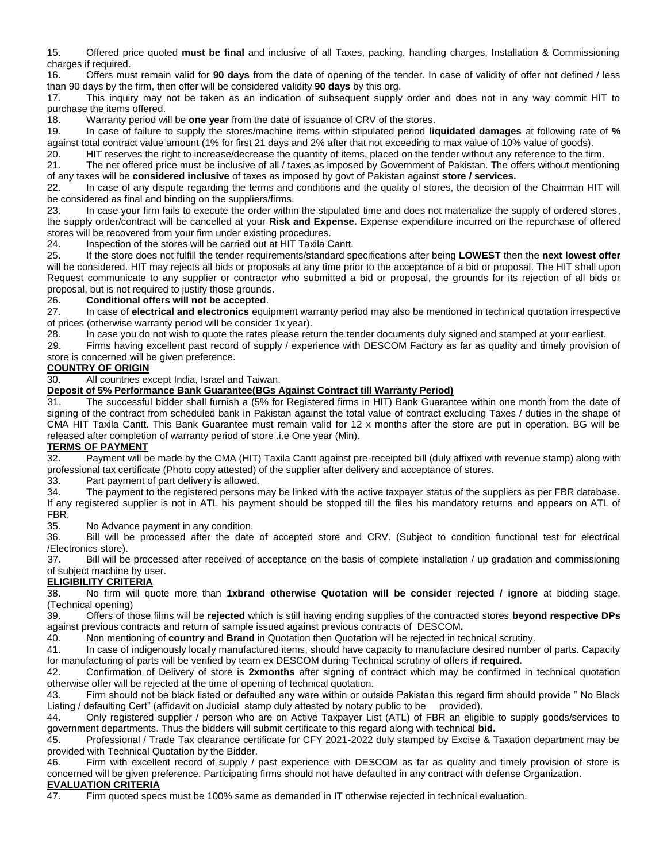15. Offered price quoted **must be final** and inclusive of all Taxes, packing, handling charges, Installation & Commissioning charges if required.

16. Offers must remain valid for **90 days** from the date of opening of the tender. In case of validity of offer not defined / less than 90 days by the firm, then offer will be considered validity **90 days** by this org.

17. This inquiry may not be taken as an indication of subsequent supply order and does not in any way commit HIT to purchase the items offered.

18. Warranty period will be **one year** from the date of issuance of CRV of the stores.

19. In case of failure to supply the stores/machine items within stipulated period **liquidated damages** at following rate of **%** against total contract value amount (1% for first 21 days and 2% after that not exceeding to max value of 10% value of goods).

20. HIT reserves the right to increase/decrease the quantity of items, placed on the tender without any reference to the firm.

21. The net offered price must be inclusive of all / taxes as imposed by Government of Pakistan. The offers without mentioning of any taxes will be **considered inclusive** of taxes as imposed by govt of Pakistan against **store / services.**

22. In case of any dispute regarding the terms and conditions and the quality of stores, the decision of the Chairman HIT will be considered as final and binding on the suppliers/firms.

23. In case your firm fails to execute the order within the stipulated time and does not materialize the supply of ordered stores, the supply order/contract will be cancelled at your **Risk and Expense.** Expense expenditure incurred on the repurchase of offered stores will be recovered from your firm under existing procedures.

24. Inspection of the stores will be carried out at HIT Taxila Cantt.

25. If the store does not fulfill the tender requirements/standard specifications after being **LOWEST** then the **next lowest offer** will be considered. HIT may rejects all bids or proposals at any time prior to the acceptance of a bid or proposal. The HIT shall upon Request communicate to any supplier or contractor who submitted a bid or proposal, the grounds for its rejection of all bids or proposal, but is not required to justify those grounds.

### 26. **Conditional offers will not be accepted**.

27. In case of **electrical and electronics** equipment warranty period may also be mentioned in technical quotation irrespective of prices (otherwise warranty period will be consider 1x year).

28. In case you do not wish to quote the rates please return the tender documents duly signed and stamped at your earliest.

 29. Firms having excellent past record of supply / experience with DESCOM Factory as far as quality and timely provision of store is concerned will be given preference.

# **COUNTRY OF ORIGIN**

30. All countries except India, Israel and Taiwan.

# **Deposit of 5% Performance Bank Guarantee(BGs Against Contract till Warranty Period)**

 31. The successful bidder shall furnish a (5% for Registered firms in HIT) Bank Guarantee within one month from the date of signing of the contract from scheduled bank in Pakistan against the total value of contract excluding Taxes / duties in the shape of CMA HIT Taxila Cantt. This Bank Guarantee must remain valid for 12 x months after the store are put in operation. BG will be released after completion of warranty period of store .i.e One year (Min).

# **TERMS OF PAYMENT**

32. Payment will be made by the CMA (HIT) Taxila Cantt against pre-receipted bill (duly affixed with revenue stamp) along with professional tax certificate (Photo copy attested) of the supplier after delivery and acceptance of stores.

33. Part payment of part delivery is allowed.

34. The payment to the registered persons may be linked with the active taxpayer status of the suppliers as per FBR database. If any registered supplier is not in ATL his payment should be stopped till the files his mandatory returns and appears on ATL of FBR.

35. No Advance payment in any condition.

36. Bill will be processed after the date of accepted store and CRV. (Subject to condition functional test for electrical /Electronics store).

 37. Bill will be processed after received of acceptance on the basis of complete installation / up gradation and commissioning of subject machine by user.

# **ELIGIBILITY CRITERIA**

38. No firm will quote more than **1xbrand otherwise Quotation will be consider rejected / ignore** at bidding stage.

(Technical opening)<br>39. **Offers of th** 39. Offers of those films will be **rejected** which is still having ending supplies of the contracted stores **beyond respective DPs** against previous contracts and return of sample issued against previous contracts of DESCOM**.**

40. Non mentioning of **country** and **Brand** in Quotation then Quotation will be rejected in technical scrutiny.

41. In case of indigenously locally manufactured items, should have capacity to manufacture desired number of parts. Capacity for manufacturing of parts will be verified by team ex DESCOM during Technical scrutiny of offers **if required.**

42. Confirmation of Delivery of store is **2xmonths** after signing of contract which may be confirmed in technical quotation otherwise offer will be rejected at the time of opening of technical quotation.

43. Firm should not be black listed or defaulted any ware within or outside Pakistan this regard firm should provide " No Black Listing / defaulting Cert" (affidavit on Judicial stamp duly attested by notary public to be provided).

44. Only registered supplier / person who are on Active Taxpayer List (ATL) of FBR an eligible to supply goods/services to government departments. Thus the bidders will submit certificate to this regard along with technical **bid.**

45. Professional / Trade Tax clearance certificate for CFY 2021-2022 duly stamped by Excise & Taxation department may be provided with Technical Quotation by the Bidder.

46. Firm with excellent record of supply / past experience with DESCOM as far as quality and timely provision of store is concerned will be given preference. Participating firms should not have defaulted in any contract with defense Organization.

### **EVALUATION CRITERIA**

47. Firm quoted specs must be 100% same as demanded in IT otherwise rejected in technical evaluation.